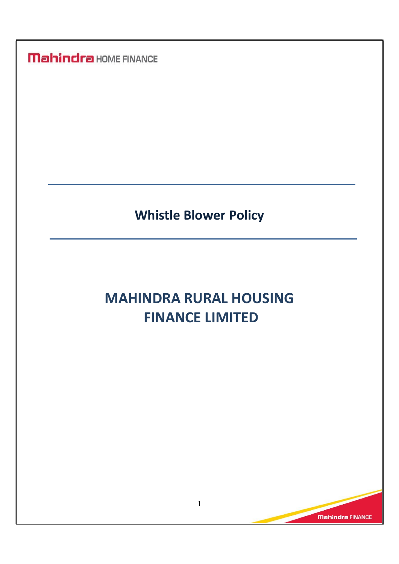## Whistle Blower Policy

# MAHINDRA RURAL HOUSING FINANCE LIMITED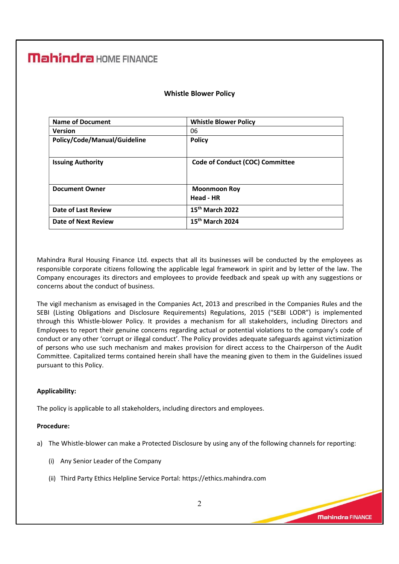| <b>Whistle Blower Policy</b>    |
|---------------------------------|
| 06                              |
| <b>Policy</b>                   |
|                                 |
| Code of Conduct (COC) Committee |
|                                 |
| <b>Moonmoon Roy</b>             |
| Head - HR                       |
| 15th March 2022                 |
| 15 <sup>th</sup> March 2024     |
|                                 |

#### Whistle Blower Policy

Mahindra Rural Housing Finance Ltd. expects that all its businesses will be conducted by the employees as responsible corporate citizens following the applicable legal framework in spirit and by letter of the law. The Company encourages its directors and employees to provide feedback and speak up with any suggestions or concerns about the conduct of business.

The vigil mechanism as envisaged in the Companies Act, 2013 and prescribed in the Companies Rules and the SEBI (Listing Obligations and Disclosure Requirements) Regulations, 2015 ("SEBI LODR") is implemented through this Whistle-blower Policy. It provides a mechanism for all stakeholders, including Directors and Employees to report their genuine concerns regarding actual or potential violations to the company's code of conduct or any other 'corrupt or illegal conduct'. The Policy provides adequate safeguards against victimization of persons who use such mechanism and makes provision for direct access to the Chairperson of the Audit Committee. Capitalized terms contained herein shall have the meaning given to them in the Guidelines issued pursuant to this Policy.

#### Applicability:

The policy is applicable to all stakeholders, including directors and employees.

#### Procedure:

- a) The Whistle-blower can make a Protected Disclosure by using any of the following channels for reporting:
	- (i) Any Senior Leader of the Company
	- (ii) Third Party Ethics Helpline Service Portal: https://ethics.mahindra.com

Mahindra FINANCE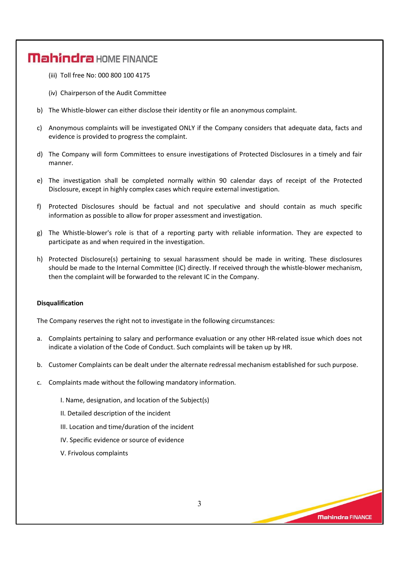- (iii) Toll free No: 000 800 100 4175
- (iv) Chairperson of the Audit Committee
- b) The Whistle-blower can either disclose their identity or file an anonymous complaint.
- c) Anonymous complaints will be investigated ONLY if the Company considers that adequate data, facts and evidence is provided to progress the complaint.
- d) The Company will form Committees to ensure investigations of Protected Disclosures in a timely and fair manner.
- e) The investigation shall be completed normally within 90 calendar days of receipt of the Protected Disclosure, except in highly complex cases which require external investigation.
- f) Protected Disclosures should be factual and not speculative and should contain as much specific information as possible to allow for proper assessment and investigation.
- g) The Whistle-blower's role is that of a reporting party with reliable information. They are expected to participate as and when required in the investigation.
- h) Protected Disclosure(s) pertaining to sexual harassment should be made in writing. These disclosures should be made to the Internal Committee (IC) directly. If received through the whistle-blower mechanism, then the complaint will be forwarded to the relevant IC in the Company.

#### Disqualification

The Company reserves the right not to investigate in the following circumstances:

- a. Complaints pertaining to salary and performance evaluation or any other HR-related issue which does not indicate a violation of the Code of Conduct. Such complaints will be taken up by HR.
- b. Customer Complaints can be dealt under the alternate redressal mechanism established for such purpose.
- c. Complaints made without the following mandatory information.
	- I. Name, designation, and location of the Subject(s)
	- II. Detailed description of the incident
	- III. Location and time/duration of the incident
	- IV. Specific evidence or source of evidence
	- V. Frivolous complaints

3

**Mahindra FINANCE**